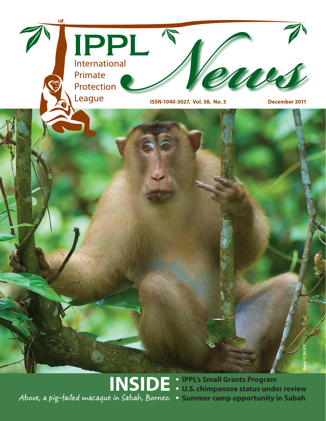

**• IPPL's Small Grants Program • U.S. chimpanzee status under review INSIDE Above, a pig-tailed macaque in Sabah, Borneo.**